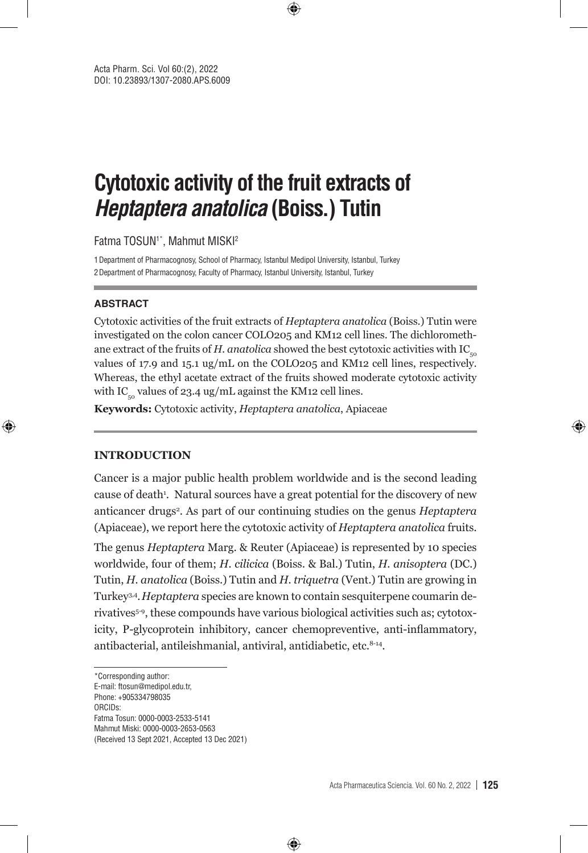# **Cytotoxic activity of the fruit extracts of Heptaptera anatolica (Boiss.) Tutin**

Fatma TOSUN<sup>1\*</sup>, Mahmut MISKI<sup>2</sup>

1Department of Pharmacognosy, School of Pharmacy, Istanbul Medipol University, Istanbul, Turkey 2Department of Pharmacognosy, Faculty of Pharmacy, Istanbul University, Istanbul, Turkey

#### **ABSTRACT**

⊕

Cytotoxic activities of the fruit extracts of *Heptaptera anatolica* (Boiss.) Tutin were investigated on the colon cancer COLO205 and KM12 cell lines. The dichloromethane extract of the fruits of *H. anatolica* showed the best cytotoxic activities with IC<sub>50</sub> values of 17.9 and 15.1 ug/mL on the COLO205 and KM12 cell lines, respectively. Whereas, the ethyl acetate extract of the fruits showed moderate cytotoxic activity with IC<sub>50</sub> values of 23.4 ug/mL against the KM12 cell lines.

⊕

**Keywords:** Cytotoxic activity, *Heptaptera anatolica*, Apiaceae

### **INTRODUCTION**

Cancer is a major public health problem worldwide and is the second leading cause of death<sup>1</sup>. Natural sources have a great potential for the discovery of new anticancer drugs<sup>2</sup>. As part of our continuing studies on the genus *Heptaptera* (Apiaceae), we report here the cytotoxic activity of *Heptaptera anatolica* fruits.

The genus *Heptaptera* Marg. & Reuter (Apiaceae) is represented by 10 species worldwide, four of them; *H. cilicica* (Boiss. & Bal.) Tutin, *H. anisoptera* (DC.) Tutin, *H. anatolica* (Boiss.) Tutin and *H. triquetra* (Vent.) Tutin are growing in Turkey3,4.*Heptaptera* species are known to contain sesquiterpene coumarin derivatives<sup>5-9</sup>, these compounds have various biological activities such as; cytotoxicity, P-glycoprotein inhibitory, cancer chemopreventive, anti-inflammatory, antibacterial, antileishmanial, antiviral, antidiabetic, etc.<sup>8-14</sup>.

⊕

\*Corresponding author:

Phone: +905334798035

ORCIDs:

E-mail: ftosun@medipol.edu.tr,

Fatma Tosun: 0000-0003-2533-5141 Mahmut Miski: 0000-0003-2653-0563

<sup>(</sup>Received 13 Sept 2021, Accepted 13 Dec 2021)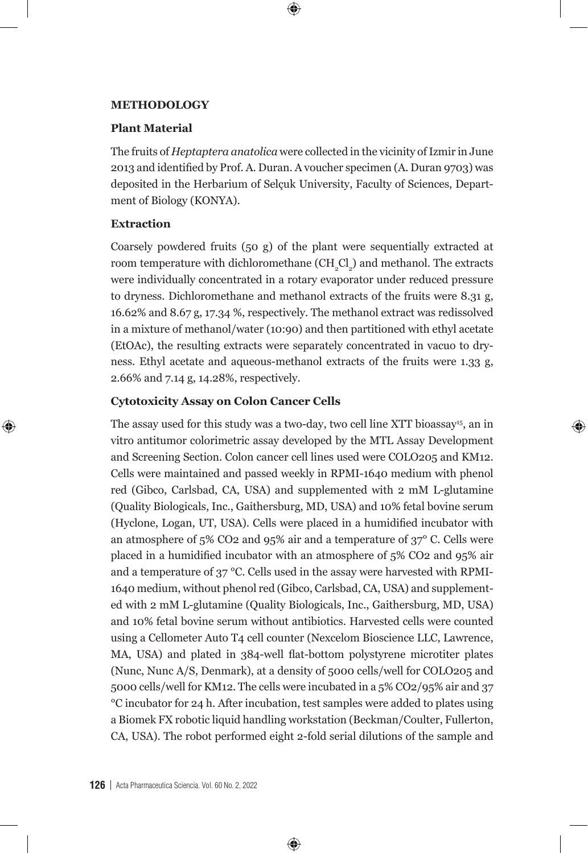### **METHODOLOGY**

## **Plant Material**

The fruits of *Heptaptera anatolica* were collected in the vicinity of Izmir in June 2013 and identified by Prof. A. Duran. A voucher specimen (A. Duran 9703) was deposited in the Herbarium of Selçuk University, Faculty of Sciences, Department of Biology (KONYA).

 $\bm \Theta$ 

# **Extraction**

⊕

Coarsely powdered fruits (50 g) of the plant were sequentially extracted at room temperature with dichloromethane  $\mathrm{CH}_{_2}\mathrm{Cl}_{_2}\mathrm{)}$  and methanol. The extracts were individually concentrated in a rotary evaporator under reduced pressure to dryness. Dichloromethane and methanol extracts of the fruits were 8.31 g, 16.62% and 8.67 g, 17.34 %, respectively. The methanol extract was redissolved in a mixture of methanol/water (10:90) and then partitioned with ethyl acetate (EtOAc), the resulting extracts were separately concentrated in vacuo to dryness. Ethyl acetate and aqueous-methanol extracts of the fruits were 1.33 g, 2.66% and 7.14 g, 14.28%, respectively.

⊕

## **Cytotoxicity Assay on Colon Cancer Cells**

The assay used for this study was a two-day, two cell line XTT bioassay<sup>15</sup>, an in vitro antitumor colorimetric assay developed by the MTL Assay Development and Screening Section. Colon cancer cell lines used were COLO205 and KM12. Cells were maintained and passed weekly in RPMI-1640 medium with phenol red (Gibco, Carlsbad, CA, USA) and supplemented with 2 mM L-glutamine (Quality Biologicals, Inc., Gaithersburg, MD, USA) and 10% fetal bovine serum (Hyclone, Logan, UT, USA). Cells were placed in a humidified incubator with an atmosphere of 5% CO2 and 95% air and a temperature of 37° C. Cells were placed in a humidified incubator with an atmosphere of 5% CO2 and 95% air and a temperature of 37 °C. Cells used in the assay were harvested with RPMI-1640 medium, without phenol red (Gibco, Carlsbad, CA, USA) and supplemented with 2 mM L-glutamine (Quality Biologicals, Inc., Gaithersburg, MD, USA) and 10% fetal bovine serum without antibiotics. Harvested cells were counted using a Cellometer Auto T4 cell counter (Nexcelom Bioscience LLC, Lawrence, MA, USA) and plated in 384-well flat-bottom polystyrene microtiter plates (Nunc, Nunc A/S, Denmark), at a density of 5000 cells/well for COLO205 and 5000 cells/well for KM12. The cells were incubated in a 5% CO2/95% air and 37 °C incubator for 24 h. After incubation, test samples were added to plates using a Biomek FX robotic liquid handling workstation (Beckman/Coulter, Fullerton, CA, USA). The robot performed eight 2-fold serial dilutions of the sample and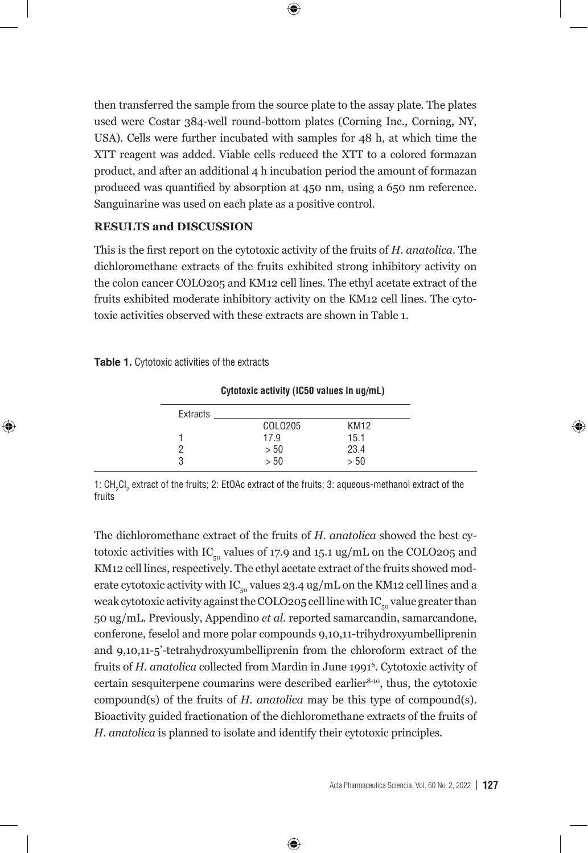then transferred the sample from the source plate to the assay plate. The plates used were Costar 384-well round-bottom plates (Corning Inc., Corning, NY, USA). Cells were further incubated with samples for 48 h, at which time the XTT reagent was added. Viable cells reduced the XTT to a colored formazan product, and after an additional 4 h incubation period the amount of formazan produced was quantified by absorption at 450 nm, using a 650 nm reference. Sanguinarine was used on each plate as a positive control.

 $\bm \Theta$ 

## **RESULTS and DISCUSSION**

This is the first report on the cytotoxic activity of the fruits of *H. anatolica.* The dichloromethane extracts of the fruits exhibited strong inhibitory activity on the colon cancer COLO205 and KM12 cell lines. The ethyl acetate extract of the fruits exhibited moderate inhibitory activity on the KM12 cell lines. The cytotoxic activities observed with these extracts are shown in Table 1.

|  | <b>Table 1.</b> Cytotoxic activities of the extracts |
|--|------------------------------------------------------|
|--|------------------------------------------------------|

⊕

| <b>UVIOLUATU AULIVILY (IUJU VAIUUS III UY/IIIL)</b> |         |                  |  |
|-----------------------------------------------------|---------|------------------|--|
| Extracts                                            |         |                  |  |
|                                                     | COLO205 | KM <sub>12</sub> |  |
|                                                     | 17.9    | 15.1             |  |
|                                                     | > 50    | 23.4             |  |
|                                                     | > 50    | >50              |  |
|                                                     |         |                  |  |

**Cytotoxic activity (IC50 values in ug/mL)**

1:  $CH_2Cl_2$  extract of the fruits; 2: EtOAc extract of the fruits; 3: aqueous-methanol extract of the fruits

The dichloromethane extract of the fruits of *H. anatolica* showed the best cytotoxic activities with IC $_{\text{co}}$  values of 17.9 and 15.1 ug/mL on the COLO205 and KM12 cell lines, respectively. The ethyl acetate extract of the fruits showed moderate cytotoxic activity with IC<sub>50</sub> values 23.4 ug/mL on the KM12 cell lines and a weak cytotoxic activity against the COLO205 cell line with  $IC_{\text{eq}}$  value greater than 50 ug/mL. Previously, Appendino *et al*. reported samarcandin, samarcandone, conferone, feselol and more polar compounds 9,10,11-trihydroxyumbelliprenin and 9,10,11-5'-tetrahydroxyumbelliprenin from the chloroform extract of the fruits of *H. anatolica* collected from Mardin in June 19916 . Cytotoxic activity of certain sesquiterpene coumarins were described earlier<sup>8-10</sup>, thus, the cytotoxic compound(s) of the fruits of *H. anatolica* may be this type of compound(s). Bioactivity guided fractionation of the dichloromethane extracts of the fruits of *H. anatolica* is planned to isolate and identify their cytotoxic principles.

⊕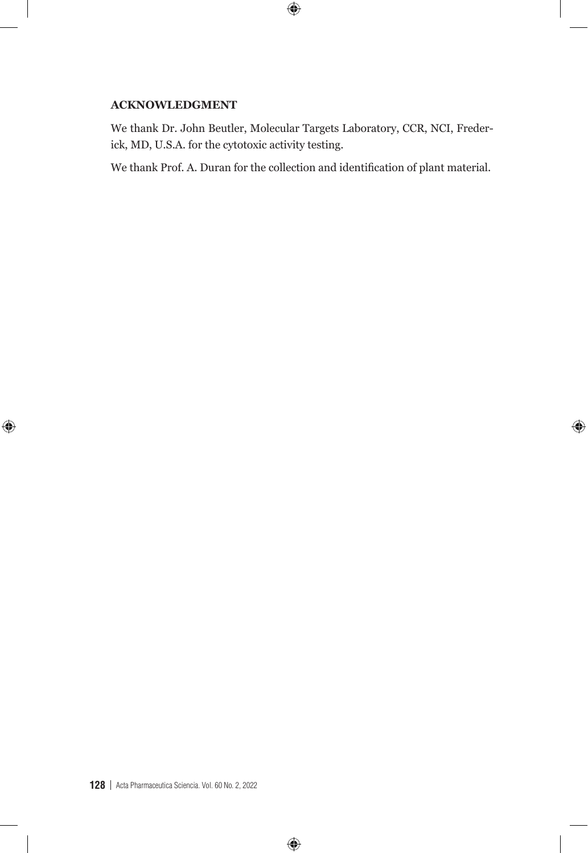# **ACKNOWLEDGMENT**

 $\bigoplus$ 

We thank Dr. John Beutler, Molecular Targets Laboratory, CCR, NCI, Frederick, MD, U.S.A. for the cytotoxic activity testing.

 $\bigoplus$ 

We thank Prof. A. Duran for the collection and identification of plant material.

 $\bigoplus$ 

 $\bigoplus$